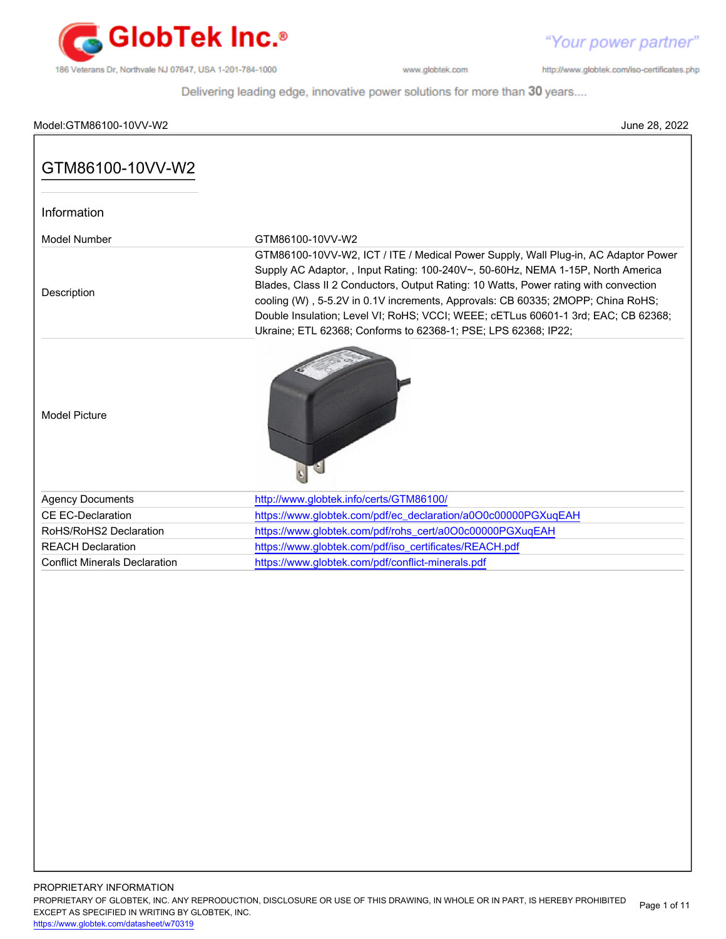

http://www.globtek.com/iso-certificates.php

Delivering leading edge, innovative power solutions for more than 30 years....

| Model:GTM86100-10VV-W2               | June 28, 2022                                                                                                                                                                                                                                                                                                                                                                                                                                                                                            |
|--------------------------------------|----------------------------------------------------------------------------------------------------------------------------------------------------------------------------------------------------------------------------------------------------------------------------------------------------------------------------------------------------------------------------------------------------------------------------------------------------------------------------------------------------------|
| GTM86100-10VV-W2                     |                                                                                                                                                                                                                                                                                                                                                                                                                                                                                                          |
| Information                          |                                                                                                                                                                                                                                                                                                                                                                                                                                                                                                          |
| Model Number                         | GTM86100-10VV-W2                                                                                                                                                                                                                                                                                                                                                                                                                                                                                         |
| Description                          | GTM86100-10VV-W2, ICT / ITE / Medical Power Supply, Wall Plug-in, AC Adaptor Power<br>Supply AC Adaptor, , Input Rating: 100-240V~, 50-60Hz, NEMA 1-15P, North America<br>Blades, Class II 2 Conductors, Output Rating: 10 Watts, Power rating with convection<br>cooling (W), 5-5.2V in 0.1V increments, Approvals: CB 60335; 2MOPP; China RoHS;<br>Double Insulation; Level VI; RoHS; VCCI; WEEE; cETLus 60601-1 3rd; EAC; CB 62368;<br>Ukraine; ETL 62368; Conforms to 62368-1; PSE; LPS 62368; IP22; |
| <b>Model Picture</b>                 |                                                                                                                                                                                                                                                                                                                                                                                                                                                                                                          |
| <b>Agency Documents</b>              | http://www.globtek.info/certs/GTM86100/                                                                                                                                                                                                                                                                                                                                                                                                                                                                  |
| <b>CE EC-Declaration</b>             | https://www.globtek.com/pdf/ec_declaration/a0O0c00000PGXuqEAH                                                                                                                                                                                                                                                                                                                                                                                                                                            |
| RoHS/RoHS2 Declaration               | https://www.globtek.com/pdf/rohs_cert/a0O0c00000PGXuqEAH                                                                                                                                                                                                                                                                                                                                                                                                                                                 |
| <b>REACH Declaration</b>             | https://www.globtek.com/pdf/iso_certificates/REACH.pdf                                                                                                                                                                                                                                                                                                                                                                                                                                                   |
| <b>Conflict Minerals Declaration</b> | https://www.globtek.com/pdf/conflict-minerals.pdf                                                                                                                                                                                                                                                                                                                                                                                                                                                        |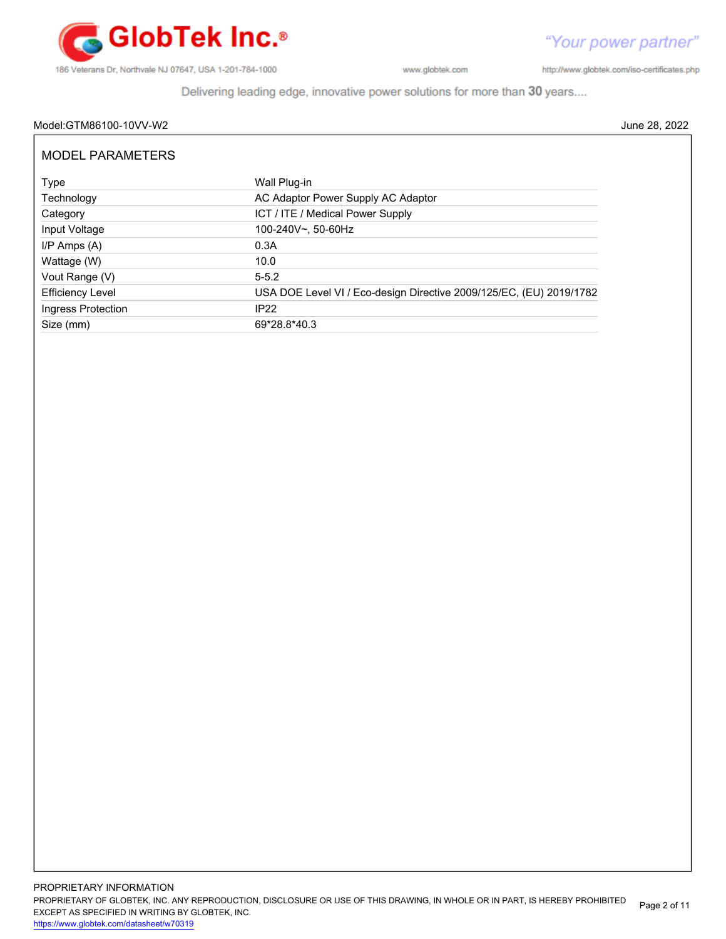

http://www.globtek.com/iso-certificates.php

Delivering leading edge, innovative power solutions for more than 30 years....

# Model:GTM86100-10VV-W2 June 28, 2022

| <b>MODEL PARAMETERS</b> |                                                                     |  |
|-------------------------|---------------------------------------------------------------------|--|
| Type                    | Wall Plug-in                                                        |  |
| Technology              | AC Adaptor Power Supply AC Adaptor                                  |  |
| Category                | ICT / ITE / Medical Power Supply                                    |  |
| Input Voltage           | 100-240V~, 50-60Hz                                                  |  |
| $I/P$ Amps $(A)$        | 0.3A                                                                |  |
| Wattage (W)             | 10.0                                                                |  |
| Vout Range (V)          | $5 - 5.2$                                                           |  |
| <b>Efficiency Level</b> | USA DOE Level VI / Eco-design Directive 2009/125/EC, (EU) 2019/1782 |  |
| Ingress Protection      | IP22                                                                |  |
| Size (mm)               | 69*28.8*40.3                                                        |  |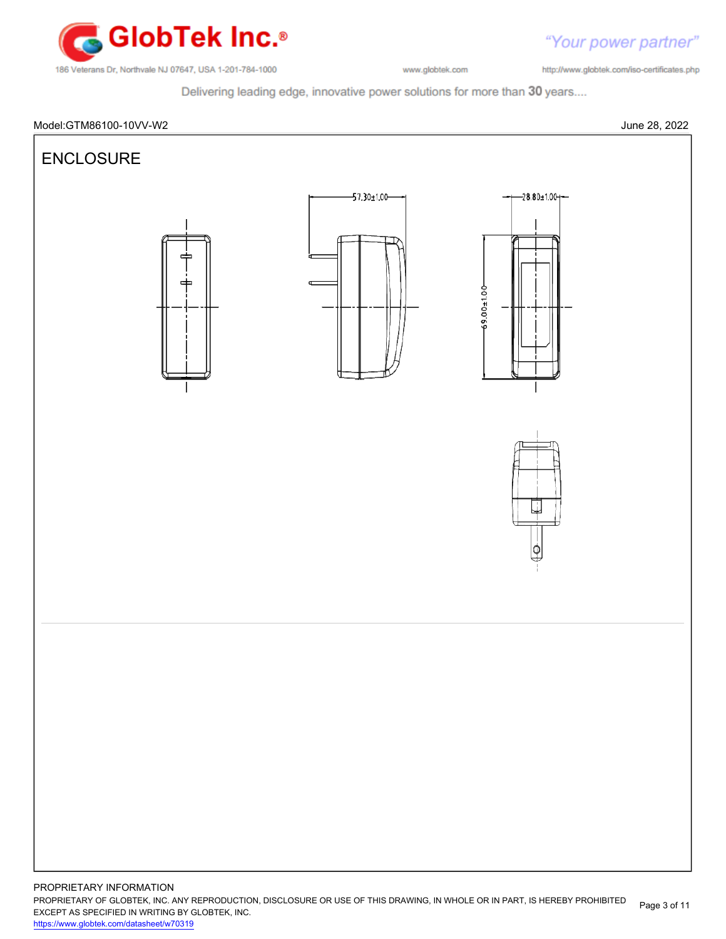

"Your power partner" http://www.globtek.com/iso-certificates.php

Delivering leading edge, innovative power solutions for more than 30 years....



PROPRIETARY OF GLOBTEK, INC. ANY REPRODUCTION, DISCLOSURE OR USE OF THIS DRAWING, IN WHOLE OR IN PART, IS HEREBY PROHIBITED EXCEPT AS SPECIFIED IN WRITING BY GLOBTEK, INC. Page 3 of 11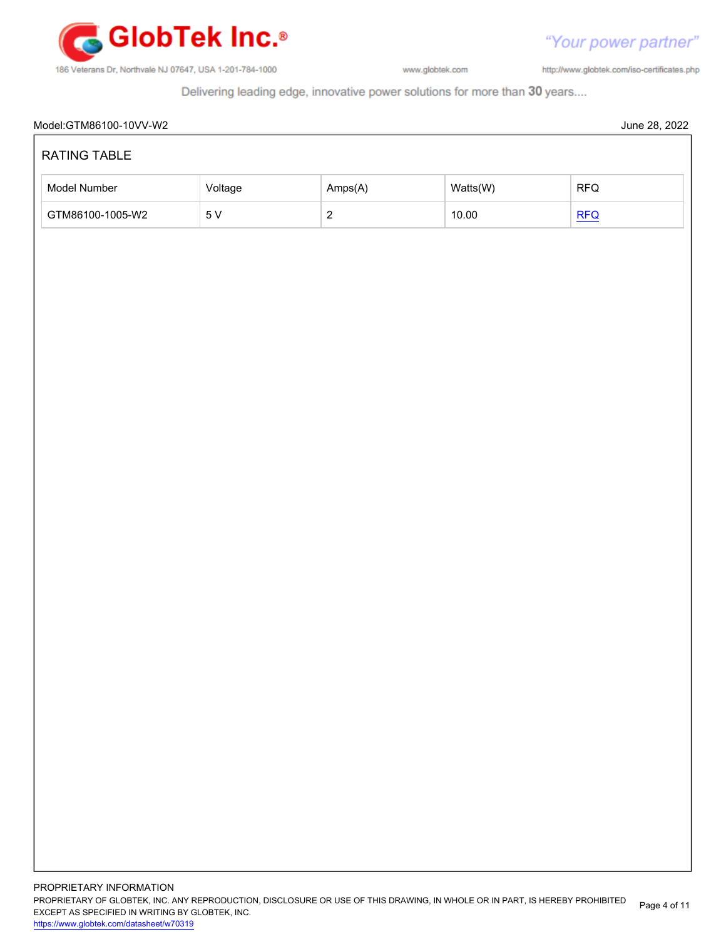

http://www.globtek.com/iso-certificates.php

Delivering leading edge, innovative power solutions for more than 30 years....

# Model:GTM86100-10VV-W2 June 28, 2022 RATING TABLE Model Number **Amps(A)** Watts(W) RFQ GTM86100-1005-W2 5 V 2 10.00 [RFQ](https://en.globtek.com/model/id/a0O0c00000PGXuqEAH)

<https://www.globtek.com/datasheet/w70319>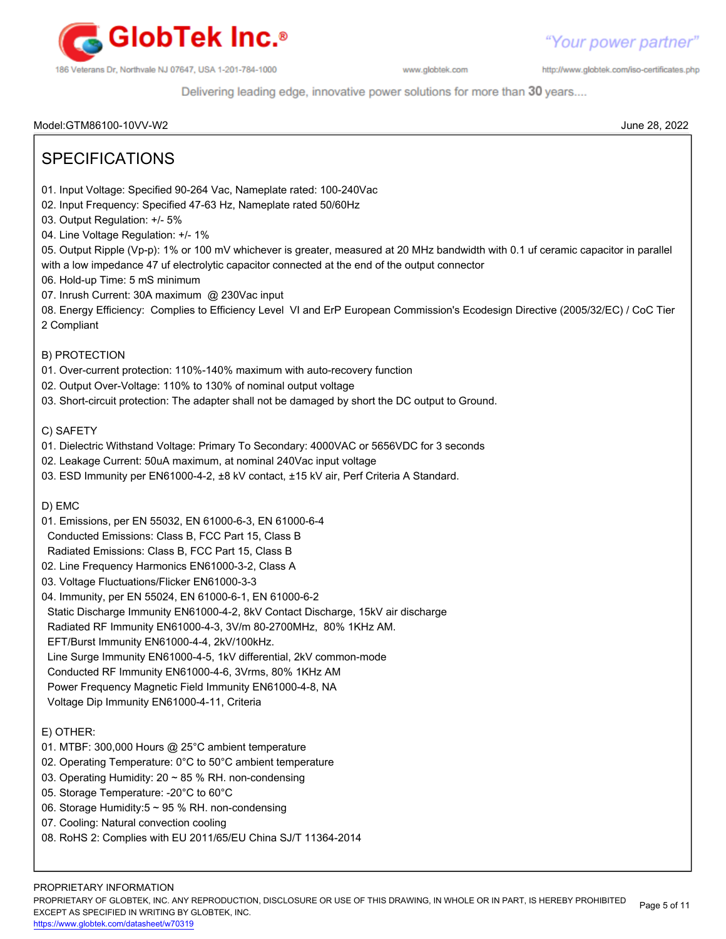

http://www.globtek.com/iso-certificates.php

Delivering leading edge, innovative power solutions for more than 30 years....

Model:GTM86100-10VV-W2 June 28, 2022

| <b>SPECIFICATIONS</b>                                                                                                                                                                                                                                                                                                                                                                                                                                                                                                                                                                                                                                                                                                                                                                      |
|--------------------------------------------------------------------------------------------------------------------------------------------------------------------------------------------------------------------------------------------------------------------------------------------------------------------------------------------------------------------------------------------------------------------------------------------------------------------------------------------------------------------------------------------------------------------------------------------------------------------------------------------------------------------------------------------------------------------------------------------------------------------------------------------|
| 01. Input Voltage: Specified 90-264 Vac, Nameplate rated: 100-240Vac<br>02. Input Frequency: Specified 47-63 Hz, Nameplate rated 50/60Hz<br>03. Output Regulation: +/- 5%<br>04. Line Voltage Regulation: +/- 1%<br>05. Output Ripple (Vp-p): 1% or 100 mV whichever is greater, measured at 20 MHz bandwidth with 0.1 uf ceramic capacitor in parallel<br>with a low impedance 47 uf electrolytic capacitor connected at the end of the output connector<br>06. Hold-up Time: 5 mS minimum<br>07. Inrush Current: 30A maximum @ 230Vac input<br>08. Energy Efficiency: Complies to Efficiency Level VI and ErP European Commission's Ecodesign Directive (2005/32/EC) / CoC Tier<br>2 Compliant                                                                                           |
| B) PROTECTION<br>01. Over-current protection: 110%-140% maximum with auto-recovery function<br>02. Output Over-Voltage: 110% to 130% of nominal output voltage<br>03. Short-circuit protection: The adapter shall not be damaged by short the DC output to Ground.                                                                                                                                                                                                                                                                                                                                                                                                                                                                                                                         |
| C) SAFETY<br>01. Dielectric Withstand Voltage: Primary To Secondary: 4000VAC or 5656VDC for 3 seconds<br>02. Leakage Current: 50uA maximum, at nominal 240Vac input voltage<br>03. ESD Immunity per EN61000-4-2, ±8 kV contact, ±15 kV air, Perf Criteria A Standard.                                                                                                                                                                                                                                                                                                                                                                                                                                                                                                                      |
| D) EMC<br>01. Emissions, per EN 55032, EN 61000-6-3, EN 61000-6-4<br>Conducted Emissions: Class B, FCC Part 15, Class B<br>Radiated Emissions: Class B, FCC Part 15, Class B<br>02. Line Frequency Harmonics EN61000-3-2, Class A<br>03. Voltage Fluctuations/Flicker EN61000-3-3<br>04. Immunity, per EN 55024, EN 61000-6-1, EN 61000-6-2<br>Static Discharge Immunity EN61000-4-2, 8kV Contact Discharge, 15kV air discharge<br>Radiated RF Immunity EN61000-4-3, 3V/m 80-2700MHz, 80% 1KHz AM.<br>EFT/Burst Immunity EN61000-4-4, 2kV/100kHz.<br>Line Surge Immunity EN61000-4-5, 1kV differential, 2kV common-mode<br>Conducted RF Immunity EN61000-4-6, 3Vrms, 80% 1KHz AM<br>Power Frequency Magnetic Field Immunity EN61000-4-8, NA<br>Voltage Dip Immunity EN61000-4-11, Criteria |
| E) OTHER:<br>01. MTBF: 300,000 Hours @ 25°C ambient temperature<br>02. Operating Temperature: 0°C to 50°C ambient temperature<br>03. Operating Humidity: 20 ~ 85 % RH. non-condensing<br>05. Storage Temperature: - 20°C to 60°C<br>06. Storage Humidity:5 ~ 95 % RH. non-condensing<br>07. Cooling: Natural convection cooling<br>08. RoHS 2: Complies with EU 2011/65/EU China SJ/T 11364-2014                                                                                                                                                                                                                                                                                                                                                                                           |
| PROPRIETARY INFORMATION                                                                                                                                                                                                                                                                                                                                                                                                                                                                                                                                                                                                                                                                                                                                                                    |

PROPRIETARY OF GLOBTEK, INC. ANY REPRODUCTION, DISCLOSURE OR USE OF THIS DRAWING, IN WHOLE OR IN PART, IS HEREBY PROHIBITED EXCEPT AS SPECIFIED IN WRITING BY GLOBTEK, INC. Page 5 of 11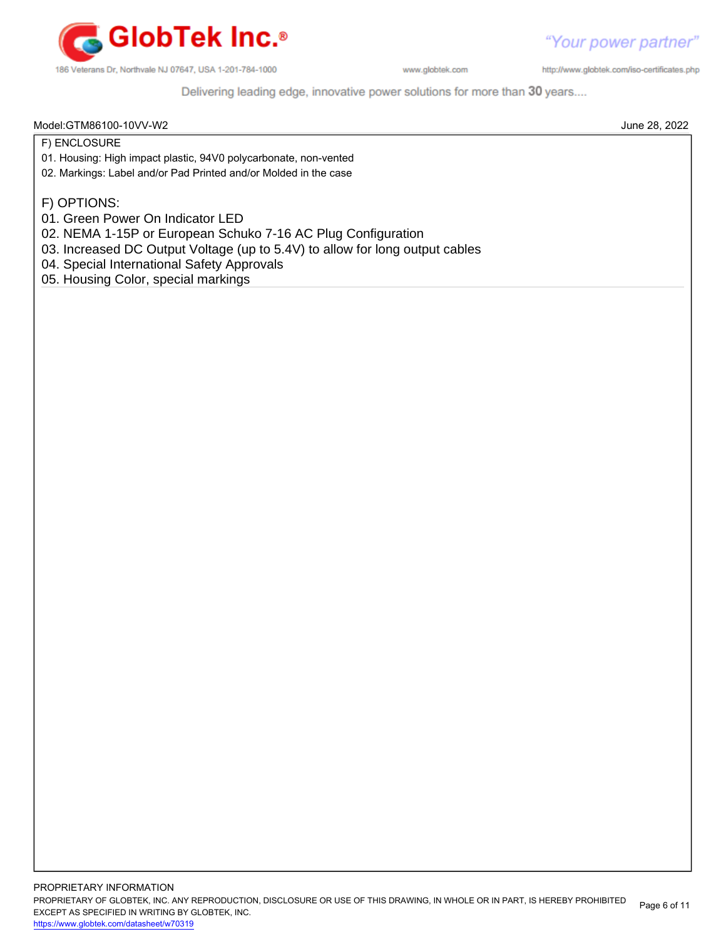

http://www.globtek.com/iso-certificates.php

Delivering leading edge, innovative power solutions for more than 30 years....

Model:GTM86100-10VV-W2 June 28, 2022

F) ENCLOSURE

- 01. Housing: High impact plastic, 94V0 polycarbonate, non-vented
- 02. Markings: Label and/or Pad Printed and/or Molded in the case
- F) OPTIONS:
- 01. Green Power On Indicator LED
- 02. NEMA 1-15P or European Schuko 7-16 AC Plug Configuration
- 03. Increased DC Output Voltage (up to 5.4V) to allow for long output cables
- 04. Special International Safety Approvals
- 05. Housing Color, special markings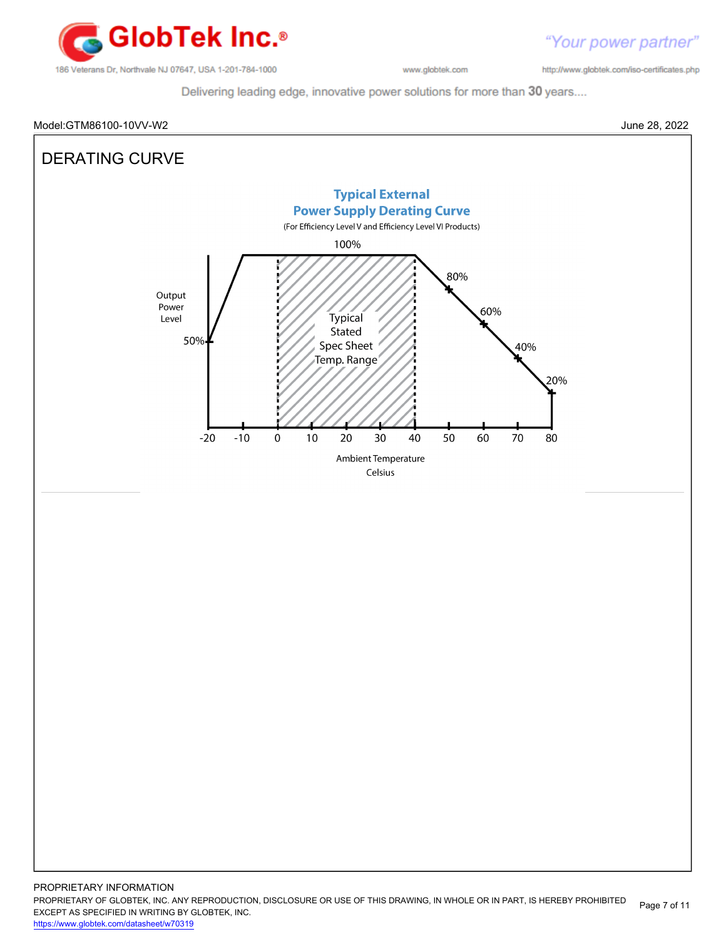

http://www.globtek.com/iso-certificates.php

Delivering leading edge, innovative power solutions for more than 30 years....

# Model:GTM86100-10VV-W2 June 28, 2022

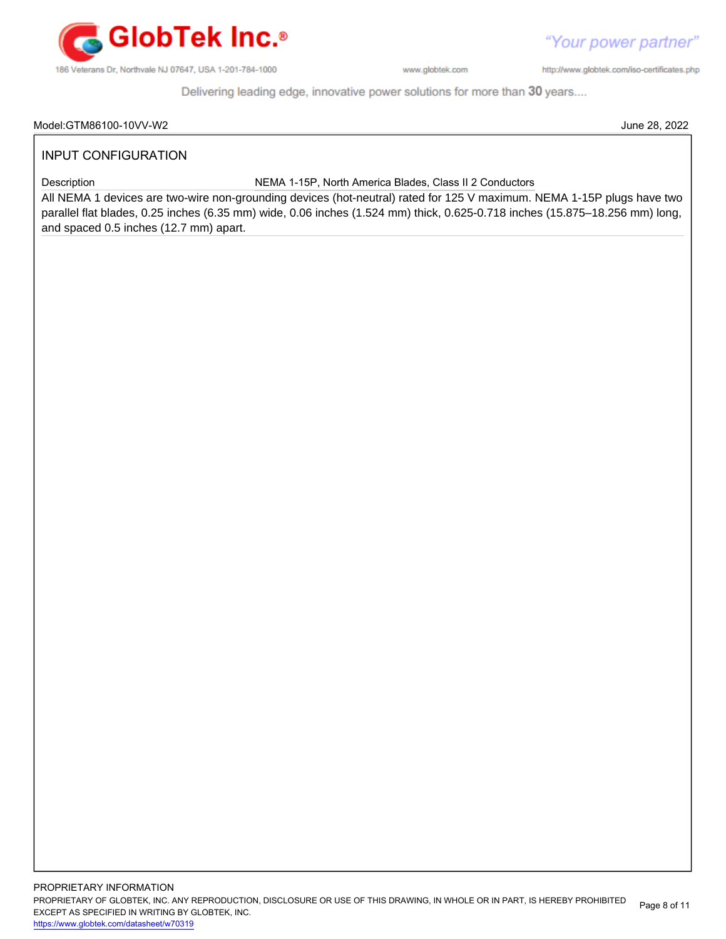

http://www.globtek.com/iso-certificates.php

"Your power partner"

Delivering leading edge, innovative power solutions for more than 30 years....

# INPUT CONFIGURATION

Description NEMA 1-15P, North America Blades, Class II 2 Conductors

All NEMA 1 devices are two-wire non-grounding devices (hot-neutral) rated for 125 V maximum. NEMA 1-15P plugs have two parallel flat blades, 0.25 inches (6.35 mm) wide, 0.06 inches (1.524 mm) thick, 0.625-0.718 inches (15.875–18.256 mm) long, and spaced 0.5 inches (12.7 mm) apart.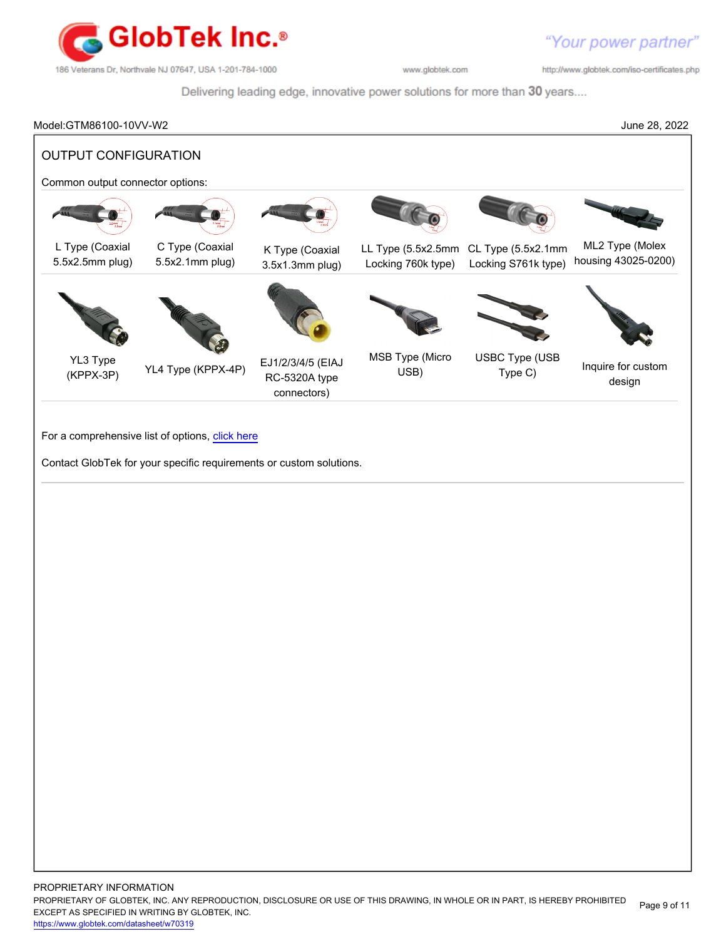

http://www.globtek.com/iso-certificates.php

Delivering leading edge, innovative power solutions for more than 30 years....

Model:GTM86100-10VV-W2 June 28, 2022 OUTPUT CONFIGURATION Common output connector options: L Type (Coaxial 5.5x2.5mm plug) C Type (Coaxial 5.5x2.1mm plug) K Type (Coaxial 3.5x1.3mm plug) LL Type (5.5x2.5mm CL Type (5.5x2.1mm Locking 760k type) Locking S761k type) ML2 Type (Molex housing 43025-0200)

YL3 Type



(KPPX-3P) YL4 Type (KPPX-4P) EJ1/2/3/4/5 (EIAJ RC-5320A type connectors)



MSB Type (Micro USB)





Type (OOD Inquire for custom design

For a comprehensive list of options, [click here](https://en.globtek.com/globtek-output-cordsets/)

Contact GlobTek for your specific requirements or custom solutions.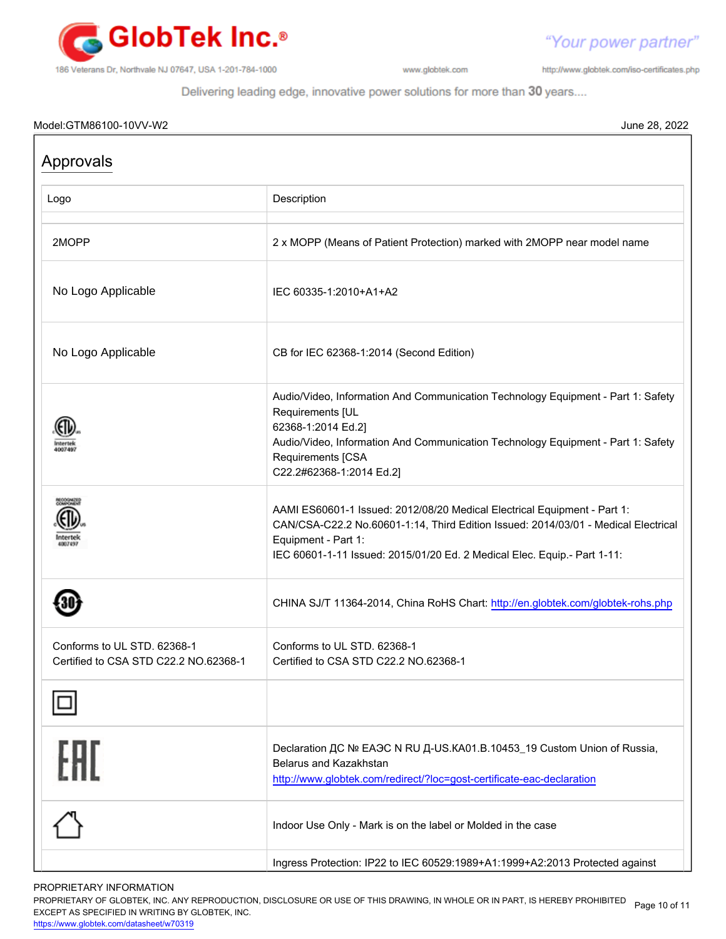

http://www.globtek.com/iso-certificates.php

"Your power partner"

Delivering leading edge, innovative power solutions for more than 30 years....

# Model:GTM86100-10VV-W2 June 28, 2022

| Approvals                                                            |                                                                                                                                                                                                                                                                   |  |
|----------------------------------------------------------------------|-------------------------------------------------------------------------------------------------------------------------------------------------------------------------------------------------------------------------------------------------------------------|--|
| Logo                                                                 | Description                                                                                                                                                                                                                                                       |  |
| 2MOPP                                                                | 2 x MOPP (Means of Patient Protection) marked with 2MOPP near model name                                                                                                                                                                                          |  |
| No Logo Applicable                                                   | IEC 60335-1:2010+A1+A2                                                                                                                                                                                                                                            |  |
| No Logo Applicable                                                   | CB for IEC 62368-1:2014 (Second Edition)                                                                                                                                                                                                                          |  |
|                                                                      | Audio/Video, Information And Communication Technology Equipment - Part 1: Safety<br>Requirements [UL<br>62368-1:2014 Ed.2]<br>Audio/Video, Information And Communication Technology Equipment - Part 1: Safety<br>Requirements [CSA<br>C22.2#62368-1:2014 Ed.2]   |  |
|                                                                      | AAMI ES60601-1 Issued: 2012/08/20 Medical Electrical Equipment - Part 1:<br>CAN/CSA-C22.2 No.60601-1:14, Third Edition Issued: 2014/03/01 - Medical Electrical<br>Equipment - Part 1:<br>IEC 60601-1-11 Issued: 2015/01/20 Ed. 2 Medical Elec. Equip.- Part 1-11: |  |
|                                                                      | CHINA SJ/T 11364-2014, China RoHS Chart: http://en.globtek.com/globtek-rohs.php                                                                                                                                                                                   |  |
| Conforms to UL STD, 62368-1<br>Certified to CSA STD C22.2 NO.62368-1 | Conforms to UL STD, 62368-1<br>Certified to CSA STD C22.2 NO.62368-1                                                                                                                                                                                              |  |
|                                                                      |                                                                                                                                                                                                                                                                   |  |
| FAI                                                                  | Declaration ДС № ЕАЭС N RU Д-US.KA01.B.10453_19 Custom Union of Russia,<br><b>Belarus and Kazakhstan</b><br>http://www.globtek.com/redirect/?loc=gost-certificate-eac-declaration                                                                                 |  |
|                                                                      | Indoor Use Only - Mark is on the label or Molded in the case                                                                                                                                                                                                      |  |
|                                                                      | Ingress Protection: IP22 to IEC 60529:1989+A1:1999+A2:2013 Protected against                                                                                                                                                                                      |  |

# PROPRIETARY INFORMATION

PROPRIETARY OF GLOBTEK, INC. ANY REPRODUCTION, DISCLOSURE OR USE OF THIS DRAWING, IN WHOLE OR IN PART, IS HEREBY PROHIBITED Page 10 of 11<br>EXALER 10 OREGIEIER WILKENIG BY OLOREEK WO EXCEPT AS SPECIFIED IN WRITING BY GLOBTEK, INC.